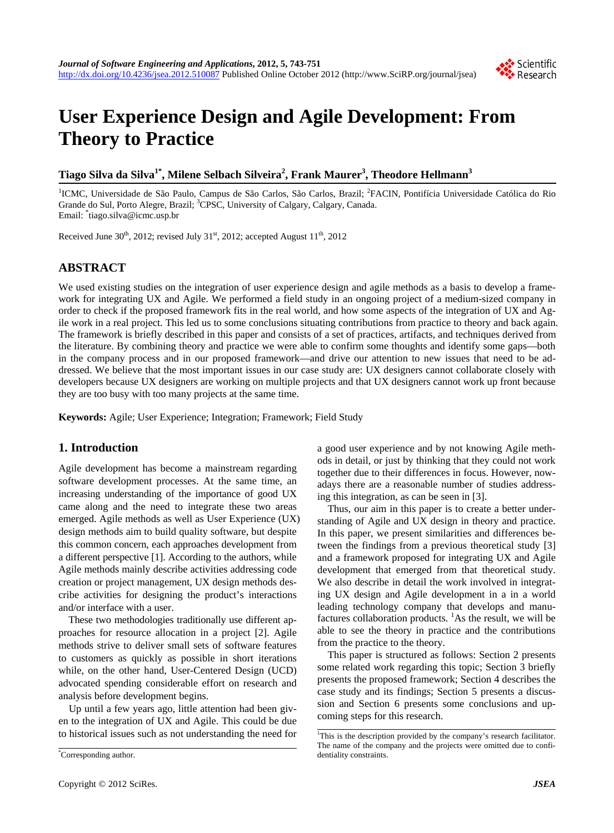

# **User Experience Design and Agile Development: From Theory to Practice**

# **Tiago Silva da Silva1\*, Milene Selbach Silveira2 , Frank Maurer3 , Theodore Hellmann<sup>3</sup>**

<sup>1</sup>ICMC, Universidade de São Paulo, Campus de São Carlos, São Carlos, Brazil; <sup>2</sup>FACIN, Pontifícia Universidade Católica do Rio Grande do Sul, Porto Alegre, Brazil; <sup>3</sup>CPSC, University of Calgary, Calgary, Canada. Email: \* tiago.silva@icmc.usp.br

Received June  $30<sup>th</sup>$ , 2012; revised July  $31<sup>st</sup>$ , 2012; accepted August  $11<sup>th</sup>$ , 2012

# **ABSTRACT**

We used existing studies on the integration of user experience design and agile methods as a basis to develop a framework for integrating UX and Agile. We performed a field study in an ongoing project of a medium-sized company in order to check if the proposed framework fits in the real world, and how some aspects of the integration of UX and Agile work in a real project. This led us to some conclusions situating contributions from practice to theory and back again. The framework is briefly described in this paper and consists of a set of practices, artifacts, and techniques derived from the literature. By combining theory and practice we were able to confirm some thoughts and identify some gaps—both in the company process and in our proposed framework—and drive our attention to new issues that need to be addressed. We believe that the most important issues in our case study are: UX designers cannot collaborate closely with developers because UX designers are working on multiple projects and that UX designers cannot work up front because they are too busy with too many projects at the same time.

**Keywords:** Agile; User Experience; Integration; Framework; Field Study

# **1. Introduction**

Agile development has become a mainstream regarding software development processes. At the same time, an increasing understanding of the importance of good UX came along and the need to integrate these two areas emerged. Agile methods as well as User Experience (UX) design methods aim to build quality software, but despite this common concern, each approaches development from a different perspective [1]. According to the authors, while Agile methods mainly describe activities addressing code creation or project management, UX design methods describe activities for designing the product's interactions and/or interface with a user.

These two methodologies traditionally use different approaches for resource allocation in a project [2]. Agile methods strive to deliver small sets of software features to customers as quickly as possible in short iterations while, on the other hand, User-Centered Design (UCD) advocated spending considerable effort on research and analysis before development begins.

Up until a few years ago, little attention had been given to the integration of UX and Agile. This could be due to historical issues such as not understanding the need for a good user experience and by not knowing Agile methods in detail, or just by thinking that they could not work together due to their differences in focus. However, nowadays there are a reasonable number of studies addressing this integration, as can be seen in [3].

Thus, our aim in this paper is to create a better understanding of Agile and UX design in theory and practice. In this paper, we present similarities and differences between the findings from a previous theoretical study [3] and a framework proposed for integrating UX and Agile development that emerged from that theoretical study. We also describe in detail the work involved in integrating UX design and Agile development in a in a world leading technology company that develops and manufactures collaboration products. <sup>1</sup>As the result, we will be able to see the theory in practice and the contributions from the practice to the theory.

This paper is structured as follows: Section 2 presents some related work regarding this topic; Section 3 briefly presents the proposed framework; Section 4 describes the case study and its findings; Section 5 presents a discussion and Section 6 presents some conclusions and upcoming steps for this research.

<sup>&</sup>lt;sup>1</sup>This is the description provided by the company's research facilitator. The name of the company and the projects were omitted due to confidentiality constraints. \* Corresponding author.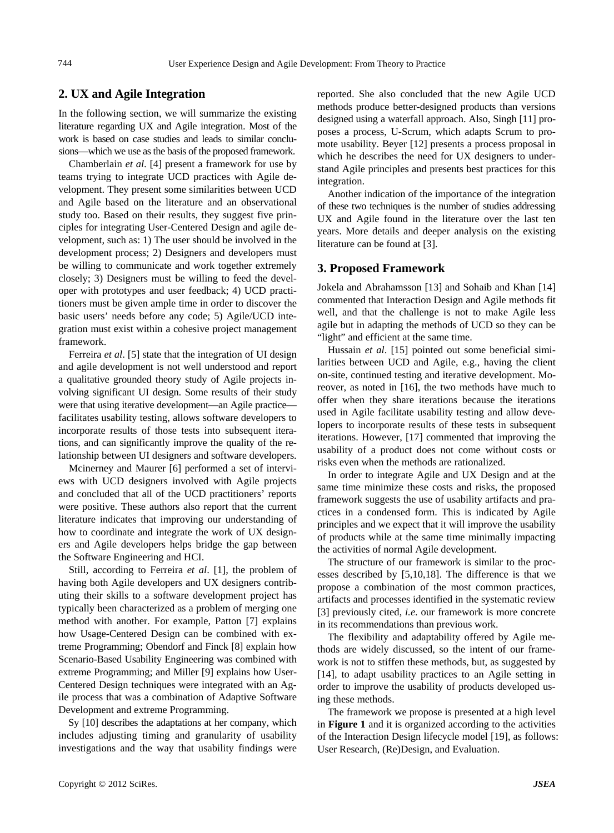# **2. UX and Agile Integration**

In the following section, we will summarize the existing literature regarding UX and Agile integration. Most of the work is based on case studies and leads to similar conclusions—which we use as the basis of the proposed framework.

Chamberlain *et al*. [4] present a framework for use by teams trying to integrate UCD practices with Agile development. They present some similarities between UCD and Agile based on the literature and an observational study too. Based on their results, they suggest five principles for integrating User-Centered Design and agile development, such as: 1) The user should be involved in the development process; 2) Designers and developers must be willing to communicate and work together extremely closely; 3) Designers must be willing to feed the developer with prototypes and user feedback; 4) UCD practitioners must be given ample time in order to discover the basic users' needs before any code; 5) Agile/UCD integration must exist within a cohesive project management framework.

Ferreira *et al*. [5] state that the integration of UI design and agile development is not well understood and report a qualitative grounded theory study of Agile projects involving significant UI design. Some results of their study were that using iterative development—an Agile practice facilitates usability testing, allows software developers to incorporate results of those tests into subsequent iterations, and can significantly improve the quality of the relationship between UI designers and software developers.

Mcinerney and Maurer [6] performed a set of interviews with UCD designers involved with Agile projects and concluded that all of the UCD practitioners' reports were positive. These authors also report that the current literature indicates that improving our understanding of how to coordinate and integrate the work of UX designers and Agile developers helps bridge the gap between the Software Engineering and HCI.

Still, according to Ferreira *et al*. [1], the problem of having both Agile developers and UX designers contributing their skills to a software development project has typically been characterized as a problem of merging one method with another. For example, Patton [7] explains how Usage-Centered Design can be combined with extreme Programming; Obendorf and Finck [8] explain how Scenario-Based Usability Engineering was combined with extreme Programming; and Miller [9] explains how User-Centered Design techniques were integrated with an Agile process that was a combination of Adaptive Software Development and extreme Programming.

Sy [10] describes the adaptations at her company, which includes adjusting timing and granularity of usability investigations and the way that usability findings were reported. She also concluded that the new Agile UCD methods produce better-designed products than versions designed using a waterfall approach. Also, Singh [11] proposes a process, U-Scrum, which adapts Scrum to promote usability. Beyer [12] presents a process proposal in which he describes the need for UX designers to understand Agile principles and presents best practices for this integration.

Another indication of the importance of the integration of these two techniques is the number of studies addressing UX and Agile found in the literature over the last ten years. More details and deeper analysis on the existing literature can be found at [3].

# **3. Proposed Framework**

Jokela and Abrahamsson [13] and Sohaib and Khan [14] commented that Interaction Design and Agile methods fit well, and that the challenge is not to make Agile less agile but in adapting the methods of UCD so they can be "light" and efficient at the same time.

Hussain *et al*. [15] pointed out some beneficial similarities between UCD and Agile, e.g., having the client on-site, continued testing and iterative development. Moreover, as noted in [16], the two methods have much to offer when they share iterations because the iterations used in Agile facilitate usability testing and allow developers to incorporate results of these tests in subsequent iterations. However, [17] commented that improving the usability of a product does not come without costs or risks even when the methods are rationalized.

In order to integrate Agile and UX Design and at the same time minimize these costs and risks, the proposed framework suggests the use of usability artifacts and practices in a condensed form. This is indicated by Agile principles and we expect that it will improve the usability of products while at the same time minimally impacting the activities of normal Agile development.

The structure of our framework is similar to the processes described by [5,10,18]. The difference is that we propose a combination of the most common practices, artifacts and processes identified in the systematic review [3] previously cited, *i.e*. our framework is more concrete in its recommendations than previous work.

The flexibility and adaptability offered by Agile methods are widely discussed, so the intent of our framework is not to stiffen these methods, but, as suggested by [14], to adapt usability practices to an Agile setting in order to improve the usability of products developed using these methods.

The framework we propose is presented at a high level in **Figure 1** and it is organized according to the activities of the Interaction Design lifecycle model [19], as follows: User Research, (Re)Design, and Evaluation.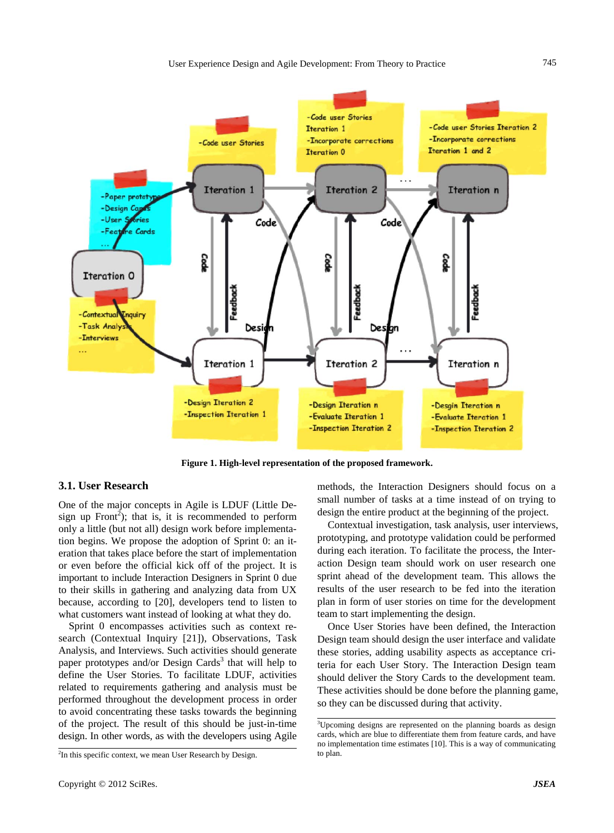

**Figure 1. High-level representation of the proposed framework.** 

sign up Front<sup>2</sup>); that is, it is recommended to perform only a little (but not all) design work before implementation begins. We propose the adoption of Sprint 0: an iteration that takes place before the start of implementation or even before the official kick off of the project. It is important to include Interaction Designers in Sprint 0 due to their skills in gathering and analyzing data from UX because, according to [20], developers tend to listen to what customers want instead of looking at what they do.

Sprint 0 encompasses activities such as context research (Contextual Inquiry [21]), Observations, Task Analysis, and Interviews. Such activities should generate paper prototypes and/or Design Cards<sup>3</sup> that will help to define the User Stories. To facilitate LDUF, activities related to requirements gathering and analysis must be performed throughout the development process in order to avoid concentrating these tasks towards the beginning of the project. The result of this should be just-in-time design. In other words, as with the developers using Agile

**3.1. User Research**  methods, the Interaction Designers should focus on a small number of tasks at a time instead of on trying to One of the major concepts in Agile is LDUF (Little De-<br>cian up Front<sup>2</sup>); that is it is recommended to perform design the entire product at the beginning of the project.

> Contextual investigation, task analysis, user interviews, prototyping, and prototype validation could be performed during each iteration. To facilitate the process, the Interaction Design team should work on user research one sprint ahead of the development team. This allows the results of the user research to be fed into the iteration plan in form of user stories on time for the development team to start implementing the design.

> Once User Stories have been defined, the Interaction Design team should design the user interface and validate these stories, adding usability aspects as acceptance criteria for each User Story. The Interaction Design team should deliver the Story Cards to the development team. These activities should be done before the planning game, so they can be discussed during that activity.

 $2$ In this specific context, we mean User Research by Design.  $\qquad \qquad$  to plan.

<sup>&</sup>lt;sup>3</sup>Upcoming designs are represented on the planning boards as design cards, which are blue to differentiate them from feature cards, and have no implementation time estimates [10]. This is a way of communicating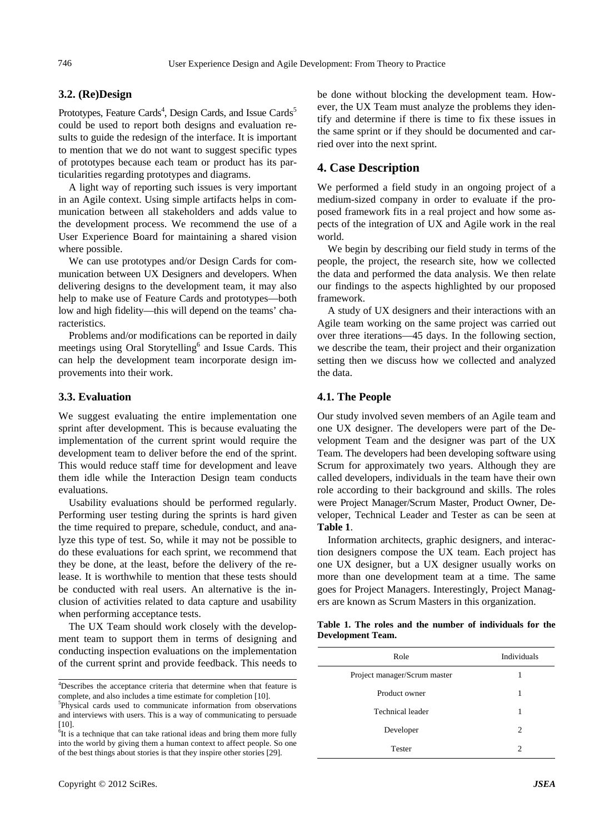# **3.2. (Re)Design**

Prototypes, Feature Cards<sup>4</sup>, Design Cards, and Issue Cards<sup>5</sup> could be used to report both designs and evaluation results to guide the redesign of the interface. It is important to mention that we do not want to suggest specific types of prototypes because each team or product has its particularities regarding prototypes and diagrams.

A light way of reporting such issues is very important in an Agile context. Using simple artifacts helps in communication between all stakeholders and adds value to the development process. We recommend the use of a User Experience Board for maintaining a shared vision where possible.

We can use prototypes and/or Design Cards for communication between UX Designers and developers. When delivering designs to the development team, it may also help to make use of Feature Cards and prototypes—both low and high fidelity—this will depend on the teams' characteristics.

Problems and/or modifications can be reported in daily meetings using Oral Storytelling<sup>6</sup> and Issue Cards. This can help the development team incorporate design improvements into their work.

# **3.3. Evaluation**

We suggest evaluating the entire implementation one sprint after development. This is because evaluating the implementation of the current sprint would require the development team to deliver before the end of the sprint. This would reduce staff time for development and leave them idle while the Interaction Design team conducts evaluations.

Usability evaluations should be performed regularly. Performing user testing during the sprints is hard given the time required to prepare, schedule, conduct, and analyze this type of test. So, while it may not be possible to do these evaluations for each sprint, we recommend that they be done, at the least, before the delivery of the release. It is worthwhile to mention that these tests should be conducted with real users. An alternative is the inclusion of activities related to data capture and usability when performing acceptance tests.

The UX Team should work closely with the development team to support them in terms of designing and conducting inspection evaluations on the implementation of the current sprint and provide feedback. This needs to

4 Describes the acceptance criteria that determine when that feature is complete, and also includes a time estimate for completion [10].

be done without blocking the development team. However, the UX Team must analyze the problems they identify and determine if there is time to fix these issues in the same sprint or if they should be documented and carried over into the next sprint.

# **4. Case Description**

We performed a field study in an ongoing project of a medium-sized company in order to evaluate if the proposed framework fits in a real project and how some aspects of the integration of UX and Agile work in the real world.

We begin by describing our field study in terms of the people, the project, the research site, how we collected the data and performed the data analysis. We then relate our findings to the aspects highlighted by our proposed framework.

A study of UX designers and their interactions with an Agile team working on the same project was carried out over three iterations—45 days. In the following section, we describe the team, their project and their organization setting then we discuss how we collected and analyzed the data.

# **4.1. The People**

Our study involved seven members of an Agile team and one UX designer. The developers were part of the Development Team and the designer was part of the UX Team. The developers had been developing software using Scrum for approximately two years. Although they are called developers, individuals in the team have their own role according to their background and skills. The roles were Project Manager/Scrum Master, Product Owner, Developer, Technical Leader and Tester as can be seen at **Table 1**.

Information architects, graphic designers, and interaction designers compose the UX team. Each project has one UX designer, but a UX designer usually works on more than one development team at a time. The same goes for Project Managers. Interestingly, Project Managers are known as Scrum Masters in this organization.

**Table 1. The roles and the number of individuals for the Development Team.** 

| Role                         | <b>Individuals</b> |  |  |  |
|------------------------------|--------------------|--|--|--|
| Project manager/Scrum master | 1                  |  |  |  |
| Product owner                | 1                  |  |  |  |
| Technical leader             | 1                  |  |  |  |
| Developer                    | 2                  |  |  |  |
| <b>Tester</b>                | $\mathfrak{D}$     |  |  |  |

<sup>5</sup> Physical cards used to communicate information from observations and interviews with users. This is a way of communicating to persuade [10].

<sup>&</sup>lt;sup>6</sup>It is a technique that can take rational ideas and bring them more fully into the world by giving them a human context to affect people. So one of the best things about stories is that they inspire other stories [29].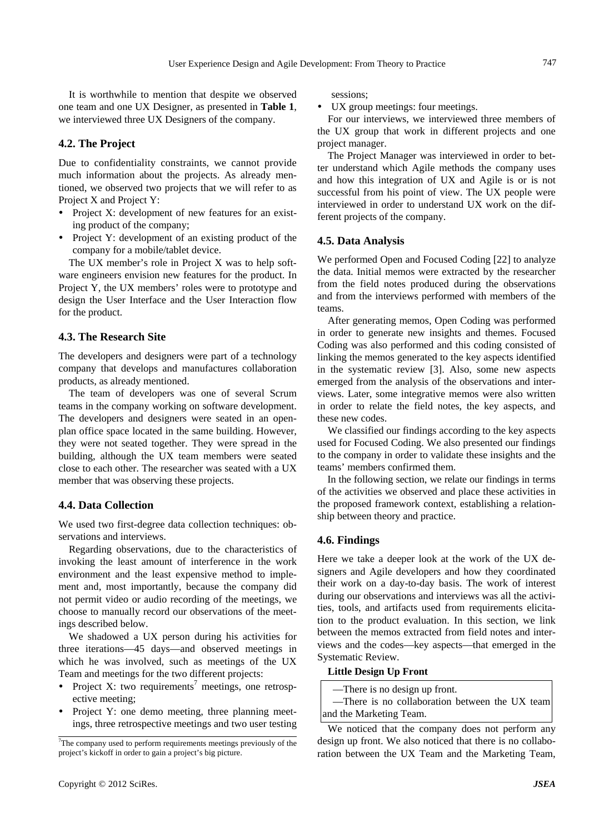It is worthwhile to mention that despite we observed one team and one UX Designer, as presented in **Table 1**, we interviewed three UX Designers of the company.

#### **4.2. The Project**

Due to confidentiality constraints, we cannot provide much information about the projects. As already mentioned, we observed two projects that we will refer to as Project X and Project Y:

- Project X: development of new features for an existing product of the company;
- Project Y: development of an existing product of the company for a mobile/tablet device.

The UX member's role in Project X was to help software engineers envision new features for the product. In Project Y, the UX members' roles were to prototype and design the User Interface and the User Interaction flow for the product.

### **4.3. The Research Site**

The developers and designers were part of a technology company that develops and manufactures collaboration products, as already mentioned.

The team of developers was one of several Scrum teams in the company working on software development. The developers and designers were seated in an openplan office space located in the same building. However, they were not seated together. They were spread in the building, although the UX team members were seated close to each other. The researcher was seated with a UX member that was observing these projects.

# **4.4. Data Collection**

We used two first-degree data collection techniques: observations and interviews.

Regarding observations, due to the characteristics of invoking the least amount of interference in the work environment and the least expensive method to implement and, most importantly, because the company did not permit video or audio recording of the meetings, we choose to manually record our observations of the meetings described below.

We shadowed a UX person during his activities for three iterations—45 days—and observed meetings in which he was involved, such as meetings of the UX Team and meetings for the two different projects:

- Project X: two requirements<sup>7</sup> meetings, one retrospective meeting;
- Project Y: one demo meeting, three planning meetings, three retrospective meetings and two user testing

sessions;

UX group meetings: four meetings.

For our interviews, we interviewed three members of the UX group that work in different projects and one project manager.

The Project Manager was interviewed in order to better understand which Agile methods the company uses and how this integration of UX and Agile is or is not successful from his point of view. The UX people were interviewed in order to understand UX work on the different projects of the company.

#### **4.5. Data Analysis**

We performed Open and Focused Coding [22] to analyze the data. Initial memos were extracted by the researcher from the field notes produced during the observations and from the interviews performed with members of the teams.

After generating memos, Open Coding was performed in order to generate new insights and themes. Focused Coding was also performed and this coding consisted of linking the memos generated to the key aspects identified in the systematic review [3]. Also, some new aspects emerged from the analysis of the observations and interviews. Later, some integrative memos were also written in order to relate the field notes, the key aspects, and these new codes.

We classified our findings according to the key aspects used for Focused Coding. We also presented our findings to the company in order to validate these insights and the teams' members confirmed them.

In the following section, we relate our findings in terms of the activities we observed and place these activities in the proposed framework context, establishing a relationship between theory and practice.

#### **4.6. Findings**

Here we take a deeper look at the work of the UX designers and Agile developers and how they coordinated their work on a day-to-day basis. The work of interest during our observations and interviews was all the activities, tools, and artifacts used from requirements elicitation to the product evaluation. In this section, we link between the memos extracted from field notes and interviews and the codes—key aspects—that emerged in the Systematic Review.

#### **Little Design Up Front**

—There is no design up front.

—There is no collaboration between the UX team and the Marketing Team.

We noticed that the company does not perform any design up front. We also noticed that there is no collaboration between the UX Team and the Marketing Team,

 $7$ The company used to perform requirements meetings previously of the project's kickoff in order to gain a project's big picture.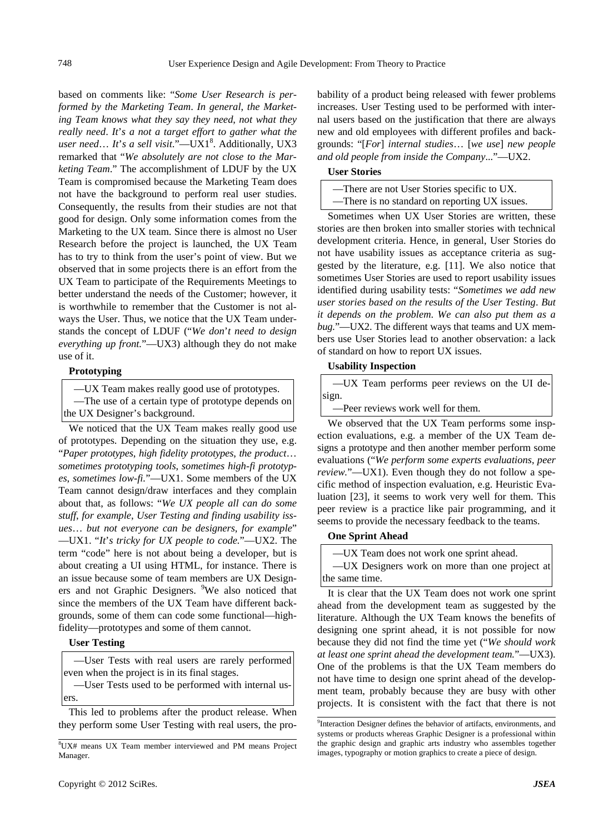based on comments like: "*Some User Research is performed by the Marketing Team*. *In general*, *the Marketing Team knows what they say they need*, *not what they really need*. *It*'*s a not a target effort to gather what the user need*… *It*'*s a sell visit*."—UX1<sup>8</sup> . Additionally, UX3 remarked that "*We absolutely are not close to the Marketing Team*." The accomplishment of LDUF by the UX Team is compromised because the Marketing Team does not have the background to perform real user studies. Consequently, the results from their studies are not that good for design. Only some information comes from the Marketing to the UX team. Since there is almost no User Research before the project is launched, the UX Team has to try to think from the user's point of view. But we observed that in some projects there is an effort from the UX Team to participate of the Requirements Meetings to better understand the needs of the Customer; however, it is worthwhile to remember that the Customer is not always the User. Thus, we notice that the UX Team understands the concept of LDUF ("*We don*'*t need to design everything up front.*"—UX3) although they do not make use of it.

#### **Prototyping**

—UX Team makes really good use of prototypes. —The use of a certain type of prototype depends on the UX Designer's background.

We noticed that the UX Team makes really good use of prototypes. Depending on the situation they use, e.g. "*Paper prototypes*, *high fidelity prototypes*, *the product*… *sometimes prototyping tools*, *sometimes high-fi prototypes*, *sometimes low-fi.*"—UX1. Some members of the UX Team cannot design/draw interfaces and they complain about that, as follows: "*We UX people all can do some stuff*, *for example*, *User Testing and finding usability issues*… *but not everyone can be designers*, *for example*" —UX1. "*It*'*s tricky for UX people to code.*"—UX2. The term "code" here is not about being a developer, but is about creating a UI using HTML, for instance. There is an issue because some of team members are UX Designers and not Graphic Designers. <sup>9</sup>We also noticed that since the members of the UX Team have different backgrounds, some of them can code some functional—highfidelity—prototypes and some of them cannot.

# **User Testing**

—User Tests with real users are rarely performed even when the project is in its final stages.

—User Tests used to be performed with internal users.

This led to problems after the product release. When they perform some User Testing with real users, the probability of a product being released with fewer problems increases. User Testing used to be performed with internal users based on the justification that there are always new and old employees with different profiles and backgrounds: "[*For*] *internal studies*… [*we use*] *new people and old people from inside the Company*..."—UX2.

# **User Stories**

| —There are not User Stories specific to UX.    |
|------------------------------------------------|
| — There is no standard on reporting UX issues. |

Sometimes when UX User Stories are written, these stories are then broken into smaller stories with technical development criteria. Hence, in general, User Stories do not have usability issues as acceptance criteria as suggested by the literature, e.g. [11]. We also notice that sometimes User Stories are used to report usability issues identified during usability tests: "*Sometimes we add new user stories based on the results of the User Testing*. *But it depends on the problem*. *We can also put them as a bug.*"—UX2. The different ways that teams and UX members use User Stories lead to another observation: a lack of standard on how to report UX issues.

# **Usability Inspection**

|       |  | -UX Team performs peer reviews on the UI de- |        |  |  |  |
|-------|--|----------------------------------------------|--------|--|--|--|
| sign. |  |                                              |        |  |  |  |
|       |  |                                              | $\sim$ |  |  |  |

—Peer reviews work well for them.

We observed that the UX Team performs some inspection evaluations, e.g. a member of the UX Team designs a prototype and then another member perform some evaluations ("*We perform some experts evaluations*, *peer review.*"—UX1). Even though they do not follow a specific method of inspection evaluation, e.g. Heuristic Evaluation [23], it seems to work very well for them. This peer review is a practice like pair programming, and it seems to provide the necessary feedback to the teams.

#### **One Sprint Ahead**

—UX Team does not work one sprint ahead.

—UX Designers work on more than one project at the same time.

It is clear that the UX Team does not work one sprint ahead from the development team as suggested by the literature. Although the UX Team knows the benefits of designing one sprint ahead, it is not possible for now because they did not find the time yet ("*We should work at least one sprint ahead the development team.*"—UX3). One of the problems is that the UX Team members do not have time to design one sprint ahead of the development team, probably because they are busy with other projects. It is consistent with the fact that there is not

<sup>8</sup> UX# means UX Team member interviewed and PM means Project Manager.

<sup>9</sup> Interaction Designer defines the behavior of artifacts, environments, and systems or products whereas Graphic Designer is a professional within the graphic design and graphic arts industry who assembles together images, typography or motion graphics to create a piece of design.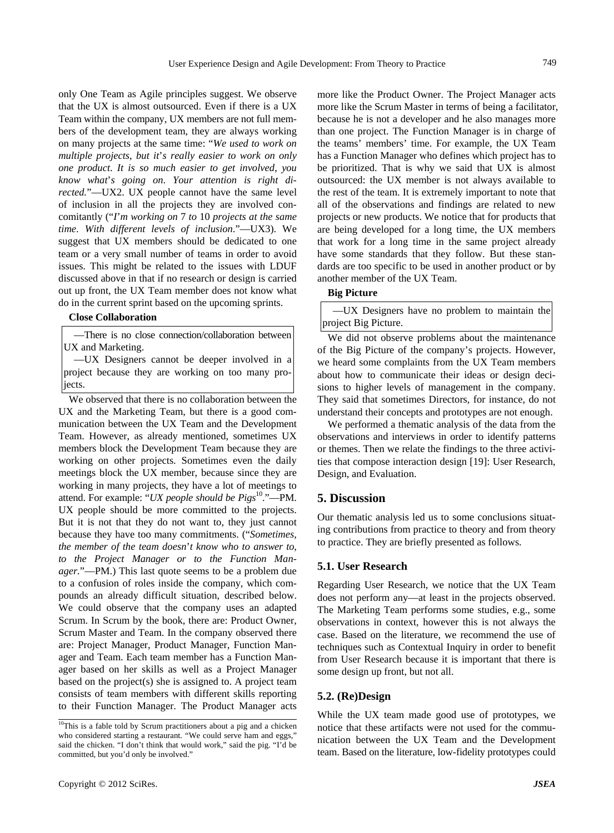only One Team as Agile principles suggest. We observe that the UX is almost outsourced. Even if there is a UX Team within the company, UX members are not full members of the development team, they are always working on many projects at the same time: "*We used to work on multiple projects*, *but it*'*s really easier to work on only one product*. *It is so much easier to get involved*, *you know what*'*s going on*. *Your attention is right directed.*"—UX2. UX people cannot have the same level of inclusion in all the projects they are involved concomitantly ("*I*'*m working on* 7 *to* 10 *projects at the same time*. *With different levels of inclusion*."—UX3). We suggest that UX members should be dedicated to one team or a very small number of teams in order to avoid issues. This might be related to the issues with LDUF discussed above in that if no research or design is carried out up front, the UX Team member does not know what do in the current sprint based on the upcoming sprints.

#### **Close Collaboration**

—There is no close connection/collaboration between UX and Marketing.

—UX Designers cannot be deeper involved in a project because they are working on too many projects.

We observed that there is no collaboration between the UX and the Marketing Team, but there is a good communication between the UX Team and the Development Team. However, as already mentioned, sometimes UX members block the Development Team because they are working on other projects. Sometimes even the daily meetings block the UX member, because since they are working in many projects, they have a lot of meetings to attend. For example: "*UX people should be Pigs*10."—PM. UX people should be more committed to the projects. But it is not that they do not want to, they just cannot because they have too many commitments. ("*Sometimes*, *the member of the team doesn*'*t know who to answer to*, *to the Project Manager or to the Function Manager.*"—PM.) This last quote seems to be a problem due to a confusion of roles inside the company, which compounds an already difficult situation, described below. We could observe that the company uses an adapted Scrum. In Scrum by the book, there are: Product Owner, Scrum Master and Team. In the company observed there are: Project Manager, Product Manager, Function Manager and Team. Each team member has a Function Manager based on her skills as well as a Project Manager based on the project(s) she is assigned to. A project team consists of team members with different skills reporting to their Function Manager. The Product Manager acts more like the Product Owner. The Project Manager acts more like the Scrum Master in terms of being a facilitator, because he is not a developer and he also manages more than one project. The Function Manager is in charge of the teams' members' time. For example, the UX Team has a Function Manager who defines which project has to be prioritized. That is why we said that UX is almost outsourced: the UX member is not always available to the rest of the team. It is extremely important to note that all of the observations and findings are related to new projects or new products. We notice that for products that are being developed for a long time, the UX members that work for a long time in the same project already have some standards that they follow. But these standards are too specific to be used in another product or by another member of the UX Team.

#### **Big Picture**

—UX Designers have no problem to maintain the project Big Picture.

We did not observe problems about the maintenance of the Big Picture of the company's projects. However, we heard some complaints from the UX Team members about how to communicate their ideas or design decisions to higher levels of management in the company. They said that sometimes Directors, for instance, do not understand their concepts and prototypes are not enough.

We performed a thematic analysis of the data from the observations and interviews in order to identify patterns or themes. Then we relate the findings to the three activities that compose interaction design [19]: User Research, Design, and Evaluation.

# **5. Discussion**

Our thematic analysis led us to some conclusions situating contributions from practice to theory and from theory to practice. They are briefly presented as follows.

# **5.1. User Research**

Regarding User Research, we notice that the UX Team does not perform any—at least in the projects observed. The Marketing Team performs some studies, e.g., some observations in context, however this is not always the case. Based on the literature, we recommend the use of techniques such as Contextual Inquiry in order to benefit from User Research because it is important that there is some design up front, but not all.

#### **5.2. (Re)Design**

While the UX team made good use of prototypes, we notice that these artifacts were not used for the communication between the UX Team and the Development team. Based on the literature, low-fidelity prototypes could

<sup>&</sup>lt;sup>10</sup>This is a fable told by Scrum practitioners about a pig and a chicken who considered starting a restaurant. "We could serve ham and eggs," said the chicken. "I don't think that would work," said the pig. "I'd be committed, but you'd only be involved."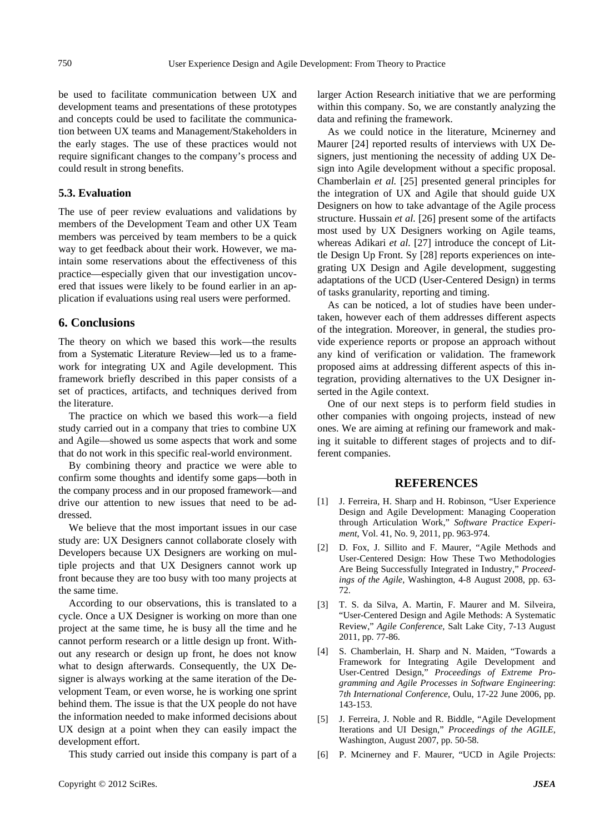be used to facilitate communication between UX and development teams and presentations of these prototypes and concepts could be used to facilitate the communication between UX teams and Management/Stakeholders in the early stages. The use of these practices would not require significant changes to the company's process and could result in strong benefits.

#### **5.3. Evaluation**

The use of peer review evaluations and validations by members of the Development Team and other UX Team members was perceived by team members to be a quick way to get feedback about their work. However, we maintain some reservations about the effectiveness of this practice—especially given that our investigation uncovered that issues were likely to be found earlier in an application if evaluations using real users were performed.

# **6. Conclusions**

The theory on which we based this work—the results from a Systematic Literature Review—led us to a framework for integrating UX and Agile development. This framework briefly described in this paper consists of a set of practices, artifacts, and techniques derived from the literature.

The practice on which we based this work—a field study carried out in a company that tries to combine UX and Agile—showed us some aspects that work and some that do not work in this specific real-world environment.

By combining theory and practice we were able to confirm some thoughts and identify some gaps—both in the company process and in our proposed framework—and drive our attention to new issues that need to be addressed.

We believe that the most important issues in our case study are: UX Designers cannot collaborate closely with Developers because UX Designers are working on multiple projects and that UX Designers cannot work up front because they are too busy with too many projects at the same time.

According to our observations, this is translated to a cycle. Once a UX Designer is working on more than one project at the same time, he is busy all the time and he cannot perform research or a little design up front. Without any research or design up front, he does not know what to design afterwards. Consequently, the UX Designer is always working at the same iteration of the Development Team, or even worse, he is working one sprint behind them. The issue is that the UX people do not have the information needed to make informed decisions about UX design at a point when they can easily impact the development effort.

This study carried out inside this company is part of a

larger Action Research initiative that we are performing within this company. So, we are constantly analyzing the data and refining the framework.

As we could notice in the literature, Mcinerney and Maurer [24] reported results of interviews with UX Designers, just mentioning the necessity of adding UX Design into Agile development without a specific proposal. Chamberlain *et al.* [25] presented general principles for the integration of UX and Agile that should guide UX Designers on how to take advantage of the Agile process structure. Hussain *et al.* [26] present some of the artifacts most used by UX Designers working on Agile teams, whereas Adikari et al. [27] introduce the concept of Little Design Up Front. Sy [28] reports experiences on integrating UX Design and Agile development, suggesting adaptations of the UCD (User-Centered Design) in terms of tasks granularity, reporting and timing.

As can be noticed, a lot of studies have been undertaken, however each of them addresses different aspects of the integration. Moreover, in general, the studies provide experience reports or propose an approach without any kind of verification or validation. The framework proposed aims at addressing different aspects of this integration, providing alternatives to the UX Designer inserted in the Agile context.

One of our next steps is to perform field studies in other companies with ongoing projects, instead of new ones. We are aiming at refining our framework and making it suitable to different stages of projects and to different companies.

# **REFERENCES**

- [1] J. Ferreira, H. Sharp and H. Robinson, "User Experience Design and Agile Development: Managing Cooperation through Articulation Work," *Software Practice Experiment*, Vol. 41, No. 9, 2011, pp. 963-974.
- [2] D. Fox, J. Sillito and F. Maurer, "Agile Methods and User-Centered Design: How These Two Methodologies Are Being Successfully Integrated in Industry," *Proceedings of the Agile*, Washington, 4-8 August 2008, pp. 63- 72.
- [3] T. S. da Silva, A. Martin, F. Maurer and M. Silveira, "User-Centered Design and Agile Methods: A Systematic Review," *Agile Conference*, Salt Lake City, 7-13 August 2011, pp. 77-86.
- [4] S. Chamberlain, H. Sharp and N. Maiden, "Towards a Framework for Integrating Agile Development and User-Centred Design," *Proceedings of Extreme Programming and Agile Processes in Software Engineering*: 7*th International Conference*, Oulu, 17-22 June 2006, pp. 143-153.
- [5] J. Ferreira, J. Noble and R. Biddle, "Agile Development Iterations and UI Design," *Proceedings of the AGILE*, Washington, August 2007, pp. 50-58.
- [6] P. Mcinerney and F. Maurer, "UCD in Agile Projects: